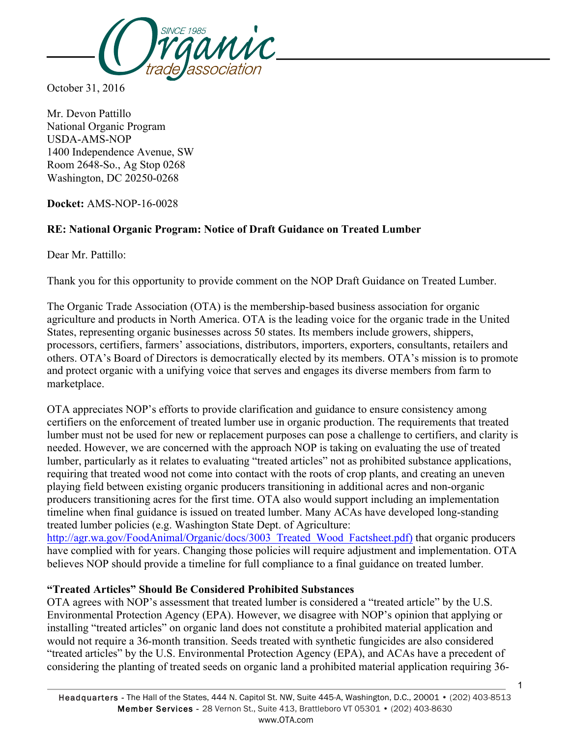

October 31, 2016

Mr. Devon Pattillo National Organic Program USDA-AMS-NOP 1400 Independence Avenue, SW Room 2648-So., Ag Stop 0268 Washington, DC 20250-0268

**Docket:** AMS-NOP-16-0028

# **RE: National Organic Program: Notice of Draft Guidance on Treated Lumber**

Dear Mr. Pattillo:

Thank you for this opportunity to provide comment on the NOP Draft Guidance on Treated Lumber.

The Organic Trade Association (OTA) is the membership-based business association for organic agriculture and products in North America. OTA is the leading voice for the organic trade in the United States, representing organic businesses across 50 states. Its members include growers, shippers, processors, certifiers, farmers' associations, distributors, importers, exporters, consultants, retailers and others. OTA's Board of Directors is democratically elected by its members. OTA's mission is to promote and protect organic with a unifying voice that serves and engages its diverse members from farm to marketplace.

OTA appreciates NOP's efforts to provide clarification and guidance to ensure consistency among certifiers on the enforcement of treated lumber use in organic production. The requirements that treated lumber must not be used for new or replacement purposes can pose a challenge to certifiers, and clarity is needed. However, we are concerned with the approach NOP is taking on evaluating the use of treated lumber, particularly as it relates to evaluating "treated articles" not as prohibited substance applications, requiring that treated wood not come into contact with the roots of crop plants, and creating an uneven playing field between existing organic producers transitioning in additional acres and non-organic producers transitioning acres for the first time. OTA also would support including an implementation timeline when final guidance is issued on treated lumber. Many ACAs have developed long-standing treated lumber policies (e.g. Washington State Dept. of Agriculture:

http://agr.wa.gov/FoodAnimal/Organic/docs/3003 Treated Wood Factsheet.pdf) that organic producers have complied with for years. Changing those policies will require adjustment and implementation. OTA believes NOP should provide a timeline for full compliance to a final guidance on treated lumber.

### **"Treated Articles" Should Be Considered Prohibited Substances**

OTA agrees with NOP's assessment that treated lumber is considered a "treated article" by the U.S. Environmental Protection Agency (EPA). However, we disagree with NOP's opinion that applying or installing "treated articles" on organic land does not constitute a prohibited material application and would not require a 36-month transition. Seeds treated with synthetic fungicides are also considered "treated articles" by the U.S. Environmental Protection Agency (EPA), and ACAs have a precedent of considering the planting of treated seeds on organic land a prohibited material application requiring 36-

1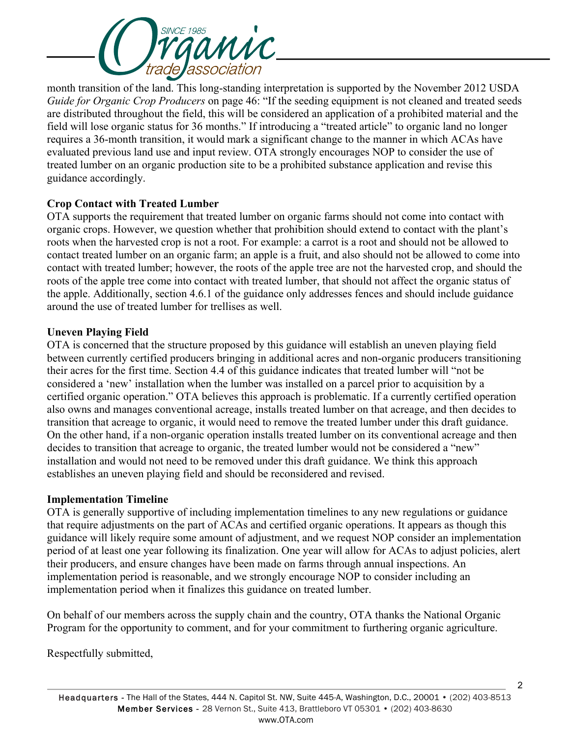

month transition of the land. This long-standing interpretation is supported by the November 2012 USDA *Guide for Organic Crop Producers* on page 46: "If the seeding equipment is not cleaned and treated seeds are distributed throughout the field, this will be considered an application of a prohibited material and the field will lose organic status for 36 months." If introducing a "treated article" to organic land no longer requires a 36-month transition, it would mark a significant change to the manner in which ACAs have evaluated previous land use and input review. OTA strongly encourages NOP to consider the use of treated lumber on an organic production site to be a prohibited substance application and revise this guidance accordingly.

### **Crop Contact with Treated Lumber**

OTA supports the requirement that treated lumber on organic farms should not come into contact with organic crops. However, we question whether that prohibition should extend to contact with the plant's roots when the harvested crop is not a root. For example: a carrot is a root and should not be allowed to contact treated lumber on an organic farm; an apple is a fruit, and also should not be allowed to come into contact with treated lumber; however, the roots of the apple tree are not the harvested crop, and should the roots of the apple tree come into contact with treated lumber, that should not affect the organic status of the apple. Additionally, section 4.6.1 of the guidance only addresses fences and should include guidance around the use of treated lumber for trellises as well.

## **Uneven Playing Field**

OTA is concerned that the structure proposed by this guidance will establish an uneven playing field between currently certified producers bringing in additional acres and non-organic producers transitioning their acres for the first time. Section 4.4 of this guidance indicates that treated lumber will "not be considered a 'new' installation when the lumber was installed on a parcel prior to acquisition by a certified organic operation." OTA believes this approach is problematic. If a currently certified operation also owns and manages conventional acreage, installs treated lumber on that acreage, and then decides to transition that acreage to organic, it would need to remove the treated lumber under this draft guidance. On the other hand, if a non-organic operation installs treated lumber on its conventional acreage and then decides to transition that acreage to organic, the treated lumber would not be considered a "new" installation and would not need to be removed under this draft guidance. We think this approach establishes an uneven playing field and should be reconsidered and revised.

### **Implementation Timeline**

OTA is generally supportive of including implementation timelines to any new regulations or guidance that require adjustments on the part of ACAs and certified organic operations. It appears as though this guidance will likely require some amount of adjustment, and we request NOP consider an implementation period of at least one year following its finalization. One year will allow for ACAs to adjust policies, alert their producers, and ensure changes have been made on farms through annual inspections. An implementation period is reasonable, and we strongly encourage NOP to consider including an implementation period when it finalizes this guidance on treated lumber.

On behalf of our members across the supply chain and the country, OTA thanks the National Organic Program for the opportunity to comment, and for your commitment to furthering organic agriculture.

Respectfully submitted,

2